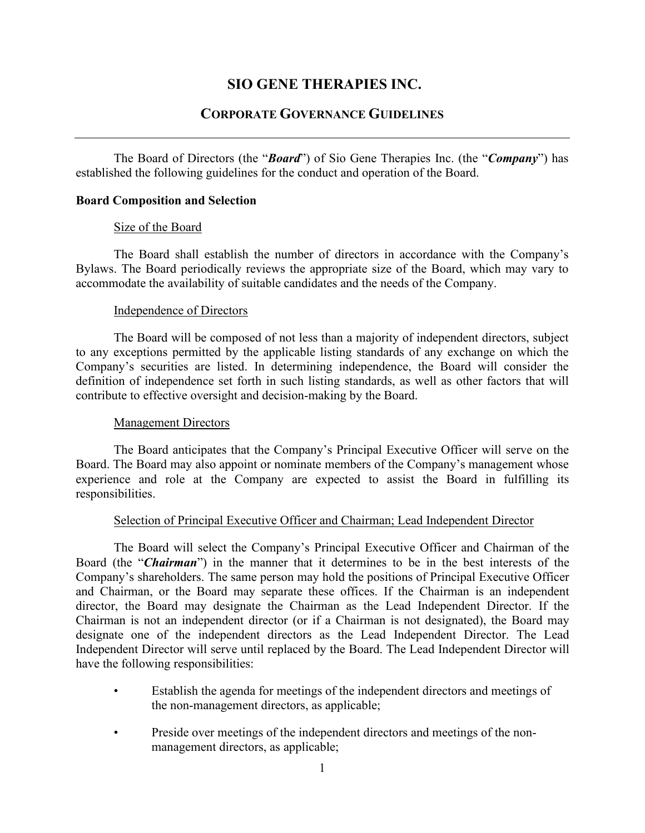# **SIO GENE THERAPIES INC.**

# **CORPORATE GOVERNANCE GUIDELINES**

The Board of Directors (the "*Board*") of Sio Gene Therapies Inc. (the "*Company*") has established the following guidelines for the conduct and operation of the Board.

# **Board Composition and Selection**

## Size of the Board

The Board shall establish the number of directors in accordance with the Company's Bylaws. The Board periodically reviews the appropriate size of the Board, which may vary to accommodate the availability of suitable candidates and the needs of the Company.

## Independence of Directors

The Board will be composed of not less than a majority of independent directors, subject to any exceptions permitted by the applicable listing standards of any exchange on which the Company's securities are listed. In determining independence, the Board will consider the definition of independence set forth in such listing standards, as well as other factors that will contribute to effective oversight and decision-making by the Board.

# Management Directors

The Board anticipates that the Company's Principal Executive Officer will serve on the Board. The Board may also appoint or nominate members of the Company's management whose experience and role at the Company are expected to assist the Board in fulfilling its responsibilities.

# Selection of Principal Executive Officer and Chairman; Lead Independent Director

The Board will select the Company's Principal Executive Officer and Chairman of the Board (the "*Chairman*") in the manner that it determines to be in the best interests of the Company's shareholders. The same person may hold the positions of Principal Executive Officer and Chairman, or the Board may separate these offices. If the Chairman is an independent director, the Board may designate the Chairman as the Lead Independent Director. If the Chairman is not an independent director (or if a Chairman is not designated), the Board may designate one of the independent directors as the Lead Independent Director. The Lead Independent Director will serve until replaced by the Board. The Lead Independent Director will have the following responsibilities:

- Establish the agenda for meetings of the independent directors and meetings of the non-management directors, as applicable;
- Preside over meetings of the independent directors and meetings of the nonmanagement directors, as applicable;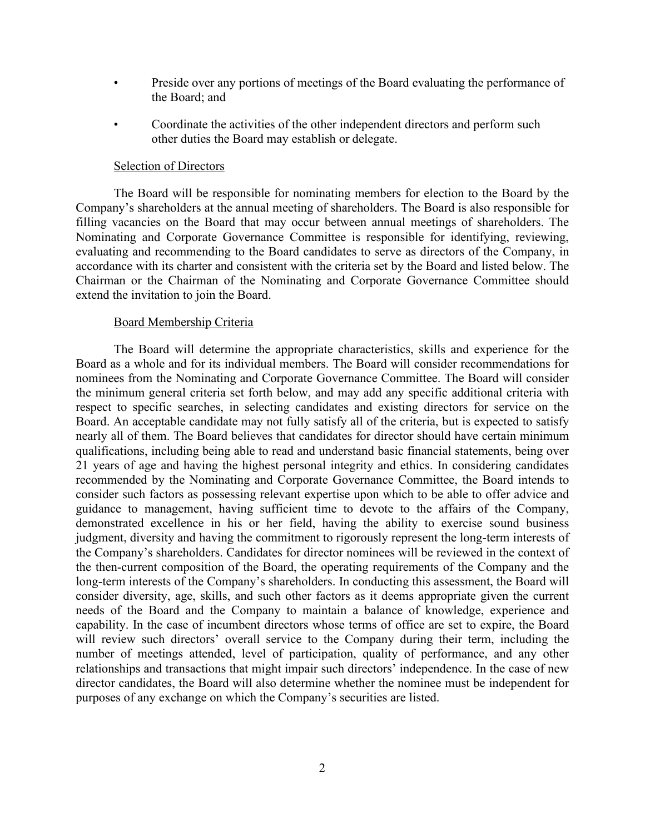- Preside over any portions of meetings of the Board evaluating the performance of the Board; and
- Coordinate the activities of the other independent directors and perform such other duties the Board may establish or delegate.

#### Selection of Directors

The Board will be responsible for nominating members for election to the Board by the Company's shareholders at the annual meeting of shareholders. The Board is also responsible for filling vacancies on the Board that may occur between annual meetings of shareholders. The Nominating and Corporate Governance Committee is responsible for identifying, reviewing, evaluating and recommending to the Board candidates to serve as directors of the Company, in accordance with its charter and consistent with the criteria set by the Board and listed below. The Chairman or the Chairman of the Nominating and Corporate Governance Committee should extend the invitation to join the Board.

#### Board Membership Criteria

The Board will determine the appropriate characteristics, skills and experience for the Board as a whole and for its individual members. The Board will consider recommendations for nominees from the Nominating and Corporate Governance Committee. The Board will consider the minimum general criteria set forth below, and may add any specific additional criteria with respect to specific searches, in selecting candidates and existing directors for service on the Board. An acceptable candidate may not fully satisfy all of the criteria, but is expected to satisfy nearly all of them. The Board believes that candidates for director should have certain minimum qualifications, including being able to read and understand basic financial statements, being over 21 years of age and having the highest personal integrity and ethics. In considering candidates recommended by the Nominating and Corporate Governance Committee, the Board intends to consider such factors as possessing relevant expertise upon which to be able to offer advice and guidance to management, having sufficient time to devote to the affairs of the Company, demonstrated excellence in his or her field, having the ability to exercise sound business judgment, diversity and having the commitment to rigorously represent the long-term interests of the Company's shareholders. Candidates for director nominees will be reviewed in the context of the then-current composition of the Board, the operating requirements of the Company and the long-term interests of the Company's shareholders. In conducting this assessment, the Board will consider diversity, age, skills, and such other factors as it deems appropriate given the current needs of the Board and the Company to maintain a balance of knowledge, experience and capability. In the case of incumbent directors whose terms of office are set to expire, the Board will review such directors' overall service to the Company during their term, including the number of meetings attended, level of participation, quality of performance, and any other relationships and transactions that might impair such directors' independence. In the case of new director candidates, the Board will also determine whether the nominee must be independent for purposes of any exchange on which the Company's securities are listed.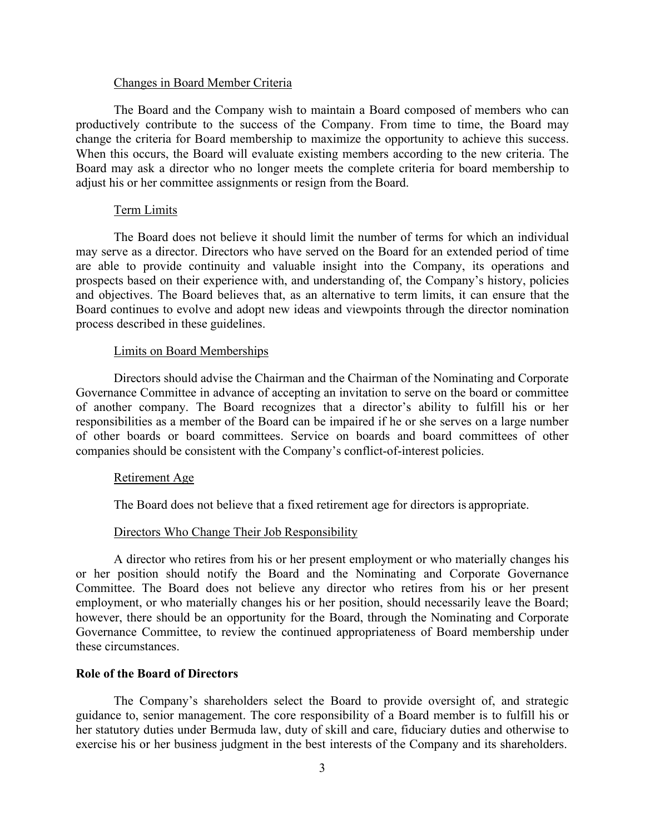#### Changes in Board Member Criteria

The Board and the Company wish to maintain a Board composed of members who can productively contribute to the success of the Company. From time to time, the Board may change the criteria for Board membership to maximize the opportunity to achieve this success. When this occurs, the Board will evaluate existing members according to the new criteria. The Board may ask a director who no longer meets the complete criteria for board membership to adjust his or her committee assignments or resign from the Board.

## Term Limits

The Board does not believe it should limit the number of terms for which an individual may serve as a director. Directors who have served on the Board for an extended period of time are able to provide continuity and valuable insight into the Company, its operations and prospects based on their experience with, and understanding of, the Company's history, policies and objectives. The Board believes that, as an alternative to term limits, it can ensure that the Board continues to evolve and adopt new ideas and viewpoints through the director nomination process described in these guidelines.

## Limits on Board Memberships

Directors should advise the Chairman and the Chairman of the Nominating and Corporate Governance Committee in advance of accepting an invitation to serve on the board or committee of another company. The Board recognizes that a director's ability to fulfill his or her responsibilities as a member of the Board can be impaired if he or she serves on a large number of other boards or board committees. Service on boards and board committees of other companies should be consistent with the Company's conflict-of-interest policies.

#### Retirement Age

The Board does not believe that a fixed retirement age for directors is appropriate.

## Directors Who Change Their Job Responsibility

A director who retires from his or her present employment or who materially changes his or her position should notify the Board and the Nominating and Corporate Governance Committee. The Board does not believe any director who retires from his or her present employment, or who materially changes his or her position, should necessarily leave the Board; however, there should be an opportunity for the Board, through the Nominating and Corporate Governance Committee, to review the continued appropriateness of Board membership under these circumstances.

# **Role of the Board of Directors**

The Company's shareholders select the Board to provide oversight of, and strategic guidance to, senior management. The core responsibility of a Board member is to fulfill his or her statutory duties under Bermuda law, duty of skill and care, fiduciary duties and otherwise to exercise his or her business judgment in the best interests of the Company and its shareholders.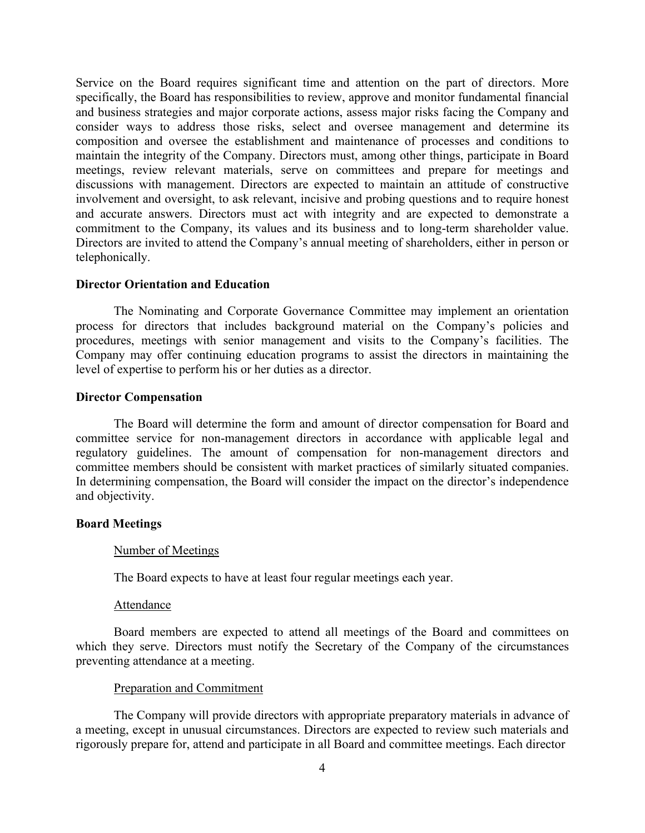Service on the Board requires significant time and attention on the part of directors. More specifically, the Board has responsibilities to review, approve and monitor fundamental financial and business strategies and major corporate actions, assess major risks facing the Company and consider ways to address those risks, select and oversee management and determine its composition and oversee the establishment and maintenance of processes and conditions to maintain the integrity of the Company. Directors must, among other things, participate in Board meetings, review relevant materials, serve on committees and prepare for meetings and discussions with management. Directors are expected to maintain an attitude of constructive involvement and oversight, to ask relevant, incisive and probing questions and to require honest and accurate answers. Directors must act with integrity and are expected to demonstrate a commitment to the Company, its values and its business and to long-term shareholder value. Directors are invited to attend the Company's annual meeting of shareholders, either in person or telephonically.

# **Director Orientation and Education**

The Nominating and Corporate Governance Committee may implement an orientation process for directors that includes background material on the Company's policies and procedures, meetings with senior management and visits to the Company's facilities. The Company may offer continuing education programs to assist the directors in maintaining the level of expertise to perform his or her duties as a director.

## **Director Compensation**

The Board will determine the form and amount of director compensation for Board and committee service for non-management directors in accordance with applicable legal and regulatory guidelines. The amount of compensation for non-management directors and committee members should be consistent with market practices of similarly situated companies. In determining compensation, the Board will consider the impact on the director's independence and objectivity.

## **Board Meetings**

#### Number of Meetings

The Board expects to have at least four regular meetings each year.

#### Attendance

Board members are expected to attend all meetings of the Board and committees on which they serve. Directors must notify the Secretary of the Company of the circumstances preventing attendance at a meeting.

## Preparation and Commitment

The Company will provide directors with appropriate preparatory materials in advance of a meeting, except in unusual circumstances. Directors are expected to review such materials and rigorously prepare for, attend and participate in all Board and committee meetings. Each director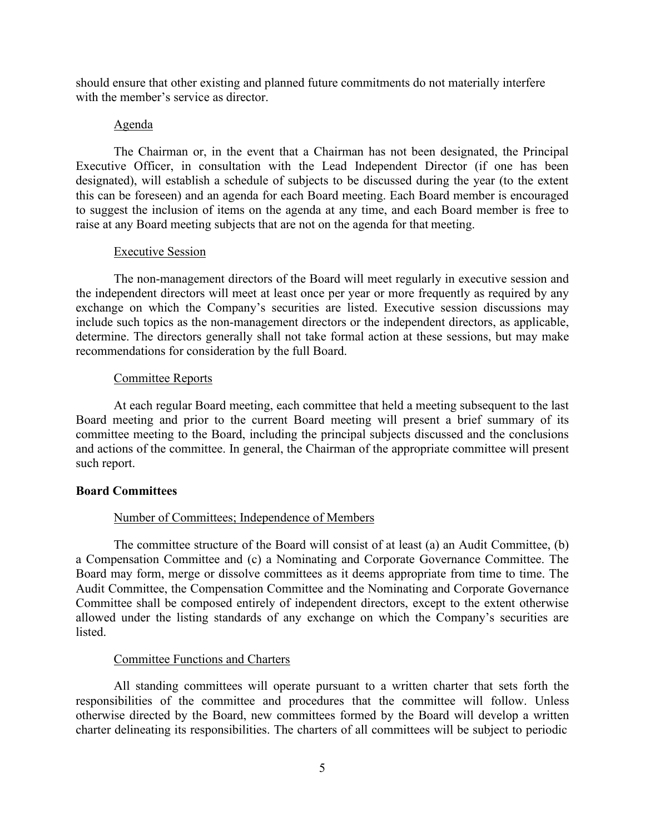should ensure that other existing and planned future commitments do not materially interfere with the member's service as director.

## Agenda

The Chairman or, in the event that a Chairman has not been designated, the Principal Executive Officer, in consultation with the Lead Independent Director (if one has been designated), will establish a schedule of subjects to be discussed during the year (to the extent this can be foreseen) and an agenda for each Board meeting. Each Board member is encouraged to suggest the inclusion of items on the agenda at any time, and each Board member is free to raise at any Board meeting subjects that are not on the agenda for that meeting.

# Executive Session

The non-management directors of the Board will meet regularly in executive session and the independent directors will meet at least once per year or more frequently as required by any exchange on which the Company's securities are listed. Executive session discussions may include such topics as the non-management directors or the independent directors, as applicable, determine. The directors generally shall not take formal action at these sessions, but may make recommendations for consideration by the full Board.

## Committee Reports

At each regular Board meeting, each committee that held a meeting subsequent to the last Board meeting and prior to the current Board meeting will present a brief summary of its committee meeting to the Board, including the principal subjects discussed and the conclusions and actions of the committee. In general, the Chairman of the appropriate committee will present such report.

## **Board Committees**

# Number of Committees; Independence of Members

The committee structure of the Board will consist of at least (a) an Audit Committee, (b) a Compensation Committee and (c) a Nominating and Corporate Governance Committee. The Board may form, merge or dissolve committees as it deems appropriate from time to time. The Audit Committee, the Compensation Committee and the Nominating and Corporate Governance Committee shall be composed entirely of independent directors, except to the extent otherwise allowed under the listing standards of any exchange on which the Company's securities are listed.

### Committee Functions and Charters

All standing committees will operate pursuant to a written charter that sets forth the responsibilities of the committee and procedures that the committee will follow. Unless otherwise directed by the Board, new committees formed by the Board will develop a written charter delineating its responsibilities. The charters of all committees will be subject to periodic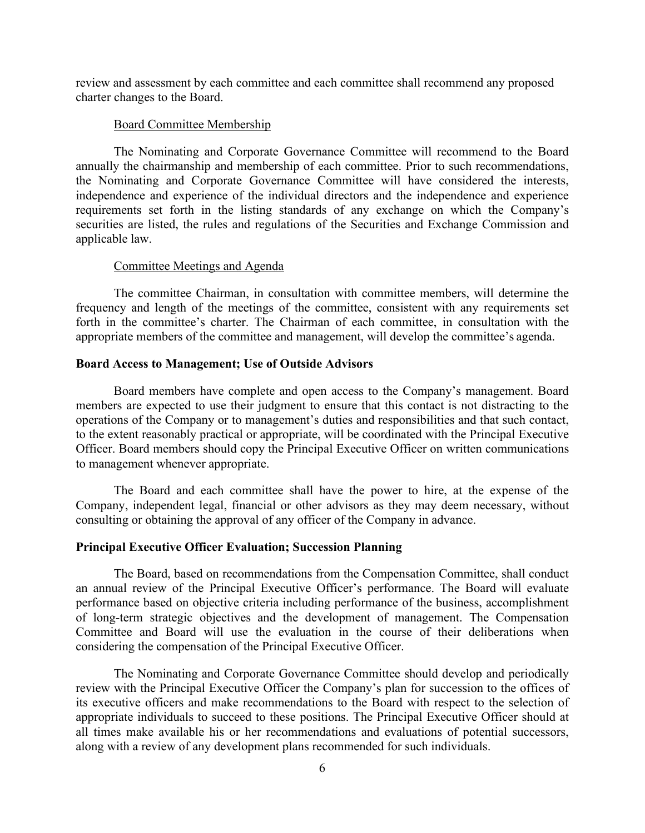review and assessment by each committee and each committee shall recommend any proposed charter changes to the Board.

#### Board Committee Membership

The Nominating and Corporate Governance Committee will recommend to the Board annually the chairmanship and membership of each committee. Prior to such recommendations, the Nominating and Corporate Governance Committee will have considered the interests, independence and experience of the individual directors and the independence and experience requirements set forth in the listing standards of any exchange on which the Company's securities are listed, the rules and regulations of the Securities and Exchange Commission and applicable law.

## Committee Meetings and Agenda

The committee Chairman, in consultation with committee members, will determine the frequency and length of the meetings of the committee, consistent with any requirements set forth in the committee's charter. The Chairman of each committee, in consultation with the appropriate members of the committee and management, will develop the committee's agenda.

## **Board Access to Management; Use of Outside Advisors**

Board members have complete and open access to the Company's management. Board members are expected to use their judgment to ensure that this contact is not distracting to the operations of the Company or to management's duties and responsibilities and that such contact, to the extent reasonably practical or appropriate, will be coordinated with the Principal Executive Officer. Board members should copy the Principal Executive Officer on written communications to management whenever appropriate.

The Board and each committee shall have the power to hire, at the expense of the Company, independent legal, financial or other advisors as they may deem necessary, without consulting or obtaining the approval of any officer of the Company in advance.

## **Principal Executive Officer Evaluation; Succession Planning**

The Board, based on recommendations from the Compensation Committee, shall conduct an annual review of the Principal Executive Officer's performance. The Board will evaluate performance based on objective criteria including performance of the business, accomplishment of long-term strategic objectives and the development of management. The Compensation Committee and Board will use the evaluation in the course of their deliberations when considering the compensation of the Principal Executive Officer.

The Nominating and Corporate Governance Committee should develop and periodically review with the Principal Executive Officer the Company's plan for succession to the offices of its executive officers and make recommendations to the Board with respect to the selection of appropriate individuals to succeed to these positions. The Principal Executive Officer should at all times make available his or her recommendations and evaluations of potential successors, along with a review of any development plans recommended for such individuals.